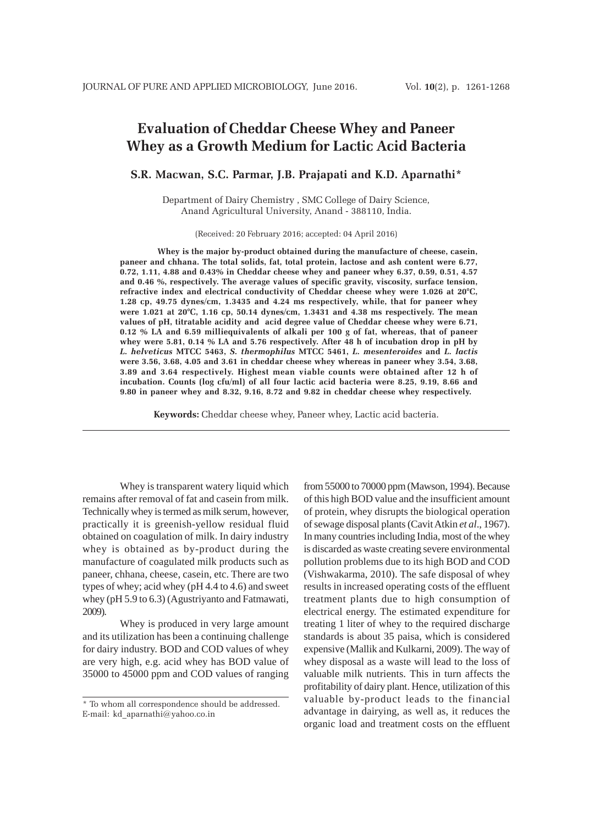# **Evaluation of Cheddar Cheese Whey and Paneer Whey as a Growth Medium for Lactic Acid Bacteria**

## **S.R. Macwan, S.C. Parmar, J.B. Prajapati and K.D. Aparnathi\***

Department of Dairy Chemistry , SMC College of Dairy Science, Anand Agricultural University, Anand - 388110, India.

(Received: 20 February 2016; accepted: 04 April 2016)

**Whey is the major by-product obtained during the manufacture of cheese, casein, paneer and chhana. The total solids, fat, total protein, lactose and ash content were 6.77, 0.72, 1.11, 4.88 and 0.43% in Cheddar cheese whey and paneer whey 6.37, 0.59, 0.51, 4.57 and 0.46 %, respectively. The average values of specific gravity, viscosity, surface tension, refractive index and electrical conductivity of Cheddar cheese whey were 1.026 at 20°C, 1.28 cp, 49.75 dynes/cm, 1.3435 and 4.24 ms respectively, while, that for paneer whey were 1.021 at 20°C, 1.16 cp, 50.14 dynes/cm, 1.3431 and 4.38 ms respectively. The mean values of pH, titratable acidity and acid degree value of Cheddar cheese whey were 6.71, 0.12 % LA and 6.59 milliequivalents of alkali per 100 g of fat, whereas, that of paneer whey were 5.81, 0.14 % LA and 5.76 respectively. After 48 h of incubation drop in pH by** *L. helveticus* **MTCC 5463,** *S. thermophilus* **MTCC 5461,** *L. mesenteroides* **and** *L. lactis* **were 3.56, 3.68, 4.05 and 3.61 in cheddar cheese whey whereas in paneer whey 3.54, 3.68, 3.89 and 3.64 respectively. Highest mean viable counts were obtained after 12 h of incubation. Counts (log cfu/ml) of all four lactic acid bacteria were 8.25, 9.19, 8.66 and 9.80 in paneer whey and 8.32, 9.16, 8.72 and 9.82 in cheddar cheese whey respectively.**

**Keywords:** Cheddar cheese whey, Paneer whey, Lactic acid bacteria.

Whey is transparent watery liquid which remains after removal of fat and casein from milk. Technically whey is termed as milk serum, however, practically it is greenish-yellow residual fluid obtained on coagulation of milk. In dairy industry whey is obtained as by-product during the manufacture of coagulated milk products such as paneer, chhana, cheese, casein, etc. There are two types of whey; acid whey (pH 4.4 to 4.6) and sweet whey (pH 5.9 to 6.3) (Agustriyanto and Fatmawati, 2009).

Whey is produced in very large amount and its utilization has been a continuing challenge for dairy industry. BOD and COD values of whey are very high, e.g. acid whey has BOD value of 35000 to 45000 ppm and COD values of ranging from 55000 to 70000 ppm (Mawson, 1994). Because of this high BOD value and the insufficient amount of protein, whey disrupts the biological operation of sewage disposal plants (Cavit Atkin *et al*., 1967). In many countries including India, most of the whey is discarded as waste creating severe environmental pollution problems due to its high BOD and COD (Vishwakarma, 2010). The safe disposal of whey results in increased operating costs of the effluent treatment plants due to high consumption of electrical energy. The estimated expenditure for treating 1 liter of whey to the required discharge standards is about 35 paisa, which is considered expensive (Mallik and Kulkarni, 2009). The way of whey disposal as a waste will lead to the loss of valuable milk nutrients. This in turn affects the profitability of dairy plant. Hence, utilization of this valuable by-product leads to the financial advantage in dairying, as well as, it reduces the organic load and treatment costs on the effluent

<sup>\*</sup> To whom all correspondence should be addressed. E-mail: kd\_aparnathi@yahoo.co.in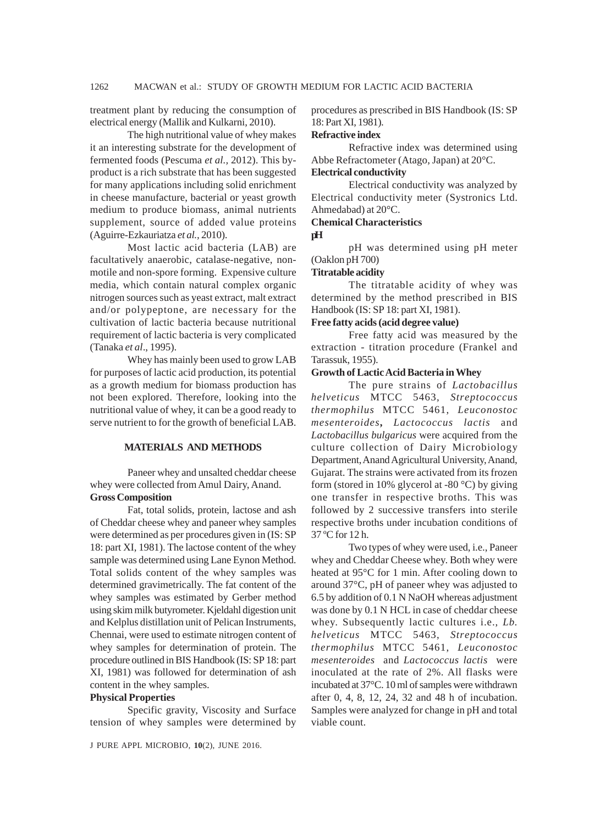treatment plant by reducing the consumption of electrical energy (Mallik and Kulkarni, 2010).

The high nutritional value of whey makes it an interesting substrate for the development of fermented foods (Pescuma *et al.,* 2012). This byproduct is a rich substrate that has been suggested for many applications including solid enrichment in cheese manufacture, bacterial or yeast growth medium to produce biomass, animal nutrients supplement, source of added value proteins (Aguirre-Ezkauriatza *et al.,* 2010).

Most lactic acid bacteria (LAB) are facultatively anaerobic, catalase-negative, nonmotile and non-spore forming. Expensive culture media, which contain natural complex organic nitrogen sources such as yeast extract, malt extract and/or polypeptone, are necessary for the cultivation of lactic bacteria because nutritional requirement of lactic bacteria is very complicated (Tanaka *et al*., 1995).

Whey has mainly been used to grow LAB for purposes of lactic acid production, its potential as a growth medium for biomass production has not been explored. Therefore, looking into the nutritional value of whey, it can be a good ready to serve nutrient to for the growth of beneficial LAB.

## **MATERIALS AND METHODS**

Paneer whey and unsalted cheddar cheese whey were collected from Amul Dairy, Anand. **Gross Composition**

Fat, total solids, protein, lactose and ash of Cheddar cheese whey and paneer whey samples were determined as per procedures given in (IS: SP 18: part XI, 1981). The lactose content of the whey sample was determined using Lane Eynon Method. Total solids content of the whey samples was determined gravimetrically. The fat content of the whey samples was estimated by Gerber method using skim milk butyrometer. Kjeldahl digestion unit and Kelplus distillation unit of Pelican Instruments, Chennai, were used to estimate nitrogen content of whey samples for determination of protein. The procedure outlined in BIS Handbook (IS: SP 18: part XI, 1981) was followed for determination of ash content in the whey samples.

#### **Physical Properties**

Specific gravity, Viscosity and Surface tension of whey samples were determined by procedures as prescribed in BIS Handbook (IS: SP 18: Part XI, 1981).

#### **Refractive index**

Refractive index was determined using Abbe Refractometer (Atago, Japan) at 20°C.

#### **Electrical conductivity**

Electrical conductivity was analyzed by Electrical conductivity meter (Systronics Ltd. Ahmedabad) at 20°C.

## **Chemical Characteristics**

**pH**

pH was determined using pH meter (Oaklon pH 700)

#### **Titratable acidity**

The titratable acidity of whey was determined by the method prescribed in BIS Handbook (IS: SP 18: part XI, 1981).

#### **Free fatty acids (acid degree value)**

Free fatty acid was measured by the extraction - titration procedure (Frankel and Tarassuk, 1955).

## **Growth of Lactic Acid Bacteria in Whey**

The pure strains of *Lactobacillus helveticus* MTCC 5463, *Streptococcus thermophilus* MTCC 5461, *Leuconostoc mesenteroides***,** *Lactococcus lactis* and *Lactobacillus bulgaricus* were acquired from the culture collection of Dairy Microbiology Department, Anand Agricultural University, Anand, Gujarat. The strains were activated from its frozen form (stored in 10% glycerol at -80 $\degree$ C) by giving one transfer in respective broths. This was followed by 2 successive transfers into sterile respective broths under incubation conditions of 37 ºC for 12 h.

Two types of whey were used, i.e., Paneer whey and Cheddar Cheese whey. Both whey were heated at 95°C for 1 min. After cooling down to around 37°C, pH of paneer whey was adjusted to 6.5 by addition of 0.1 N NaOH whereas adjustment was done by 0.1 N HCL in case of cheddar cheese whey. Subsequently lactic cultures i.e., *Lb. helveticus* MTCC 5463, *Streptococcus thermophilus* MTCC 5461, *Leuconostoc mesenteroides* and *Lactococcus lactis* were inoculated at the rate of 2%. All flasks were incubated at 37°C. 10 ml of samples were withdrawn after 0, 4, 8, 12, 24, 32 and 48 h of incubation. Samples were analyzed for change in pH and total viable count.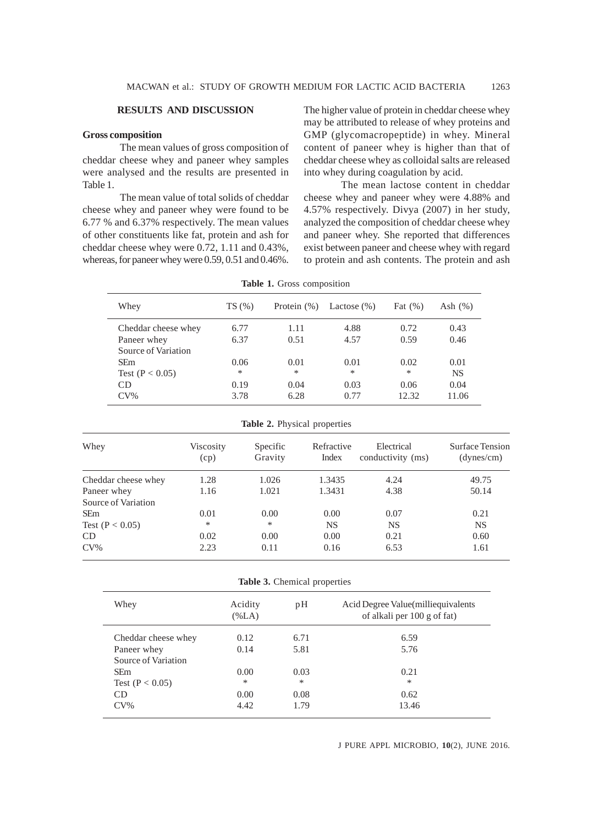## **RESULTS AND DISCUSSION**

#### **Gross composition**

The mean values of gross composition of cheddar cheese whey and paneer whey samples were analysed and the results are presented in Table 1.

The mean value of total solids of cheddar cheese whey and paneer whey were found to be 6.77 % and 6.37% respectively. The mean values of other constituents like fat, protein and ash for cheddar cheese whey were 0.72, 1.11 and 0.43%, whereas, for paneer whey were 0.59, 0.51 and 0.46%.

The higher value of protein in cheddar cheese whey may be attributed to release of whey proteins and GMP (glycomacropeptide) in whey. Mineral content of paneer whey is higher than that of cheddar cheese whey as colloidal salts are released into whey during coagulation by acid.

The mean lactose content in cheddar cheese whey and paneer whey were 4.88% and 4.57% respectively. Divya (2007) in her study, analyzed the composition of cheddar cheese whey and paneer whey. She reported that differences exist between paneer and cheese whey with regard to protein and ash contents. The protein and ash

| <b>Table 1.</b> Gross composition |  |
|-----------------------------------|--|
|-----------------------------------|--|

| Whey                | TS(%) | Protein $(\%)$ | Lactose $(\% )$ | Fat $(\%)$ | Ash $(\%)$ |
|---------------------|-------|----------------|-----------------|------------|------------|
| Cheddar cheese whey | 6.77  | 1.11           | 4.88            | 0.72       | 0.43       |
| Paneer whey         | 6.37  | 0.51           | 4.57            | 0.59       | 0.46       |
| Source of Variation |       |                |                 |            |            |
| <b>SEm</b>          | 0.06  | 0.01           | 0.01            | 0.02       | 0.01       |
| Test $(P < 0.05)$   | ∗     | *              | *               | ∗          | <b>NS</b>  |
| CD                  | 0.19  | 0.04           | 0.03            | 0.06       | 0.04       |
| $CV\%$              | 3.78  | 6.28           | 0.77            | 12.32      | 11.06      |

**Table 2.** Physical properties

| Whey                | Viscosity<br>(cp) | Specific<br>Gravity | Refractive<br>Index | Electrical<br>conductivity (ms) | Surface Tension<br>(dynes/cm) |
|---------------------|-------------------|---------------------|---------------------|---------------------------------|-------------------------------|
| Cheddar cheese whey | 1.28              | 1.026               | 1.3435              | 4.24                            | 49.75                         |
| Paneer whey         | 1.16              | 1.021               | 1.3431              | 4.38                            | 50.14                         |
| Source of Variation |                   |                     |                     |                                 |                               |
| SEm                 | 0.01              | 0.00                | 0.00                | 0.07                            | 0.21                          |
| Test $(P < 0.05)$   | $*$               | *                   | <b>NS</b>           | <b>NS</b>                       | <b>NS</b>                     |
| CD                  | 0.02              | 0.00                | 0.00                | 0.21                            | 0.60                          |
| $CV\%$              | 2.23              | 0.11                | 0.16                | 6.53                            | 1.61                          |

**Table 3.** Chemical properties

| Acidity<br>$(\%LA)$ | pΗ   | Acid Degree Value (milliequivalents<br>of alkali per 100 g of fat) |
|---------------------|------|--------------------------------------------------------------------|
| 0.12                | 6.71 | 6.59                                                               |
| 0.14                | 5.81 | 5.76                                                               |
|                     |      |                                                                    |
| 0.00                | 0.03 | 0.21                                                               |
| $\ast$              | *    | $*$                                                                |
| 0.00                | 0.08 | 0.62                                                               |
| 4.42                | 1.79 | 13.46                                                              |
|                     |      |                                                                    |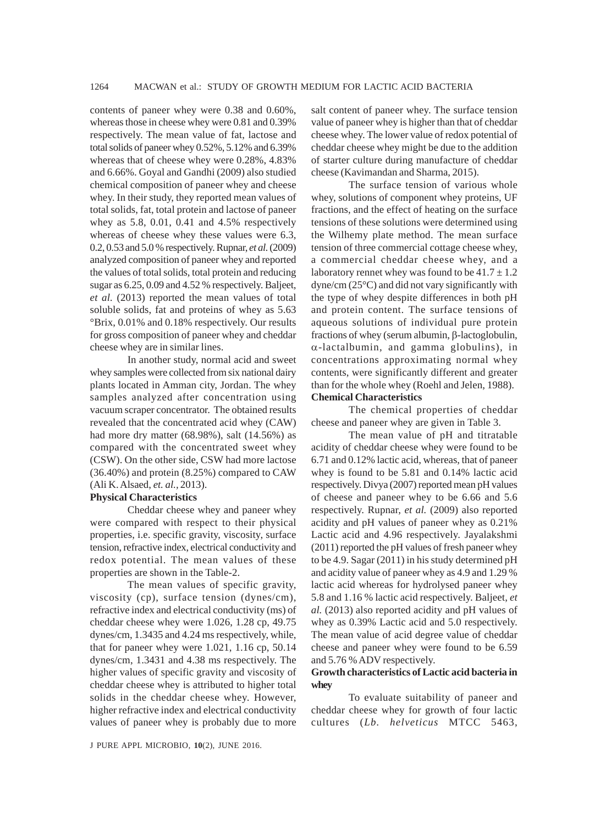contents of paneer whey were 0.38 and 0.60%, whereas those in cheese whey were 0.81 and 0.39% respectively. The mean value of fat, lactose and total solids of paneer whey 0.52%, 5.12% and 6.39% whereas that of cheese whey were 0.28%, 4.83% and 6.66%. Goyal and Gandhi (2009) also studied chemical composition of paneer whey and cheese whey. In their study, they reported mean values of total solids, fat, total protein and lactose of paneer whey as 5.8, 0.01, 0.41 and 4.5% respectively whereas of cheese whey these values were 6.3, 0.2, 0.53 and 5.0 % respectively. Rupnar, *et al.* (2009) analyzed composition of paneer whey and reported the values of total solids, total protein and reducing sugar as 6.25, 0.09 and 4.52 % respectively. Baljeet, *et al.* (2013) reported the mean values of total soluble solids, fat and proteins of whey as 5.63 °Brix, 0.01% and 0.18% respectively. Our results for gross composition of paneer whey and cheddar cheese whey are in similar lines.

In another study, normal acid and sweet whey samples were collected from six national dairy plants located in Amman city, Jordan. The whey samples analyzed after concentration using vacuum scraper concentrator. The obtained results revealed that the concentrated acid whey (CAW) had more dry matter (68.98%), salt (14.56%) as compared with the concentrated sweet whey (CSW). On the other side, CSW had more lactose (36.40%) and protein (8.25%) compared to CAW (Ali K. Alsaed, *et. al.,* 2013).

## **Physical Characteristics**

Cheddar cheese whey and paneer whey were compared with respect to their physical properties, i.e. specific gravity, viscosity, surface tension, refractive index, electrical conductivity and redox potential. The mean values of these properties are shown in the Table-2.

The mean values of specific gravity, viscosity (cp), surface tension (dynes/cm), refractive index and electrical conductivity (ms) of cheddar cheese whey were 1.026, 1.28 cp, 49.75 dynes/cm, 1.3435 and 4.24 ms respectively, while, that for paneer whey were 1.021, 1.16 cp, 50.14 dynes/cm, 1.3431 and 4.38 ms respectively. The higher values of specific gravity and viscosity of cheddar cheese whey is attributed to higher total solids in the cheddar cheese whey. However, higher refractive index and electrical conductivity values of paneer whey is probably due to more

salt content of paneer whey. The surface tension value of paneer whey is higher than that of cheddar cheese whey. The lower value of redox potential of cheddar cheese whey might be due to the addition of starter culture during manufacture of cheddar cheese (Kavimandan and Sharma, 2015).

The surface tension of various whole whey, solutions of component whey proteins, UF fractions, and the effect of heating on the surface tensions of these solutions were determined using the Wilhemy plate method. The mean surface tension of three commercial cottage cheese whey, a commercial cheddar cheese whey, and a laboratory rennet whey was found to be  $41.7 \pm 1.2$ dyne/cm (25°C) and did not vary significantly with the type of whey despite differences in both pH and protein content. The surface tensions of aqueous solutions of individual pure protein fractions of whey (serum albumin, β-lactoglobulin, α-lactalbumin, and gamma globulins), in concentrations approximating normal whey contents, were significantly different and greater than for the whole whey (Roehl and Jelen, 1988). **Chemical Characteristics**

The chemical properties of cheddar cheese and paneer whey are given in Table 3.

The mean value of pH and titratable acidity of cheddar cheese whey were found to be 6.71 and 0.12% lactic acid, whereas, that of paneer whey is found to be 5.81 and 0.14% lactic acid respectively. Divya (2007) reported mean pH values of cheese and paneer whey to be 6.66 and 5.6 respectively. Rupnar, *et al.* (2009) also reported acidity and pH values of paneer whey as 0.21% Lactic acid and 4.96 respectively. Jayalakshmi (2011) reported the pH values of fresh paneer whey to be 4.9. Sagar (2011) in his study determined pH and acidity value of paneer whey as 4.9 and 1.29 % lactic acid whereas for hydrolysed paneer whey 5.8 and 1.16 % lactic acid respectively. Baljeet, *et al.* (2013) also reported acidity and pH values of whey as 0.39% Lactic acid and 5.0 respectively. The mean value of acid degree value of cheddar cheese and paneer whey were found to be 6.59 and 5.76 % ADV respectively.

## **Growth characteristics of Lactic acid bacteria in whey**

To evaluate suitability of paneer and cheddar cheese whey for growth of four lactic cultures (*Lb. helveticus* MTCC 5463,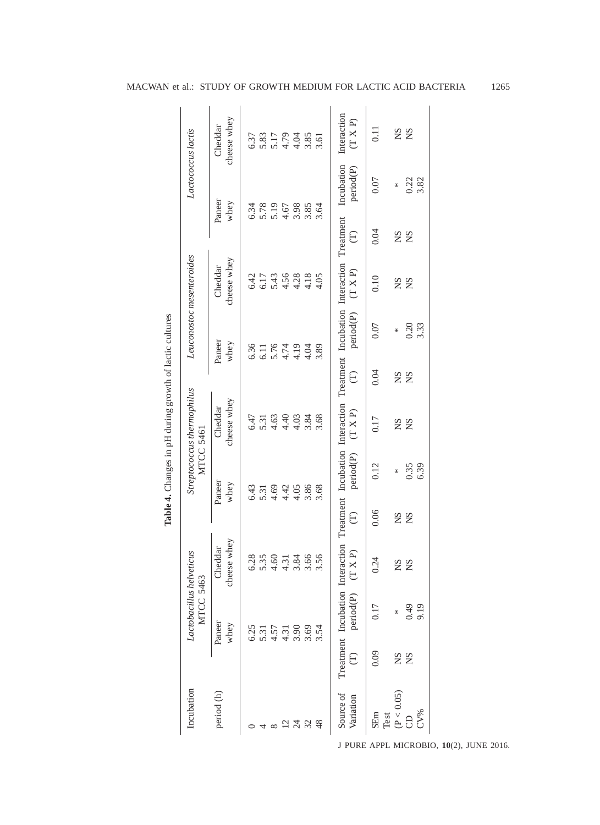|                                                         | Lactococcus lactis                             | cheese whey<br>Cheddar | 6.37 |      |                |      |                               |      |      | Interaction<br>(T X P)                                                                                                  | $\overline{0}$     | $S_{N}$    | <b>NS</b> |      |
|---------------------------------------------------------|------------------------------------------------|------------------------|------|------|----------------|------|-------------------------------|------|------|-------------------------------------------------------------------------------------------------------------------------|--------------------|------------|-----------|------|
|                                                         |                                                | Paneer<br>whey         | 6.34 |      |                |      | 5.78<br>5.19<br>5.4.67        | 3.85 | 3.64 | Incubation<br>period(P)                                                                                                 | 0.07               | ₩          | 0.22      | 3.82 |
|                                                         |                                                |                        |      |      |                |      |                               |      |      | $\widehat{\Xi}$                                                                                                         | 0.04               |            | <b>SK</b> |      |
|                                                         |                                                | cheese whey<br>Cheddar | 6.42 | 6.17 | 5.43           | 4.56 | 4.28                          | 4.18 | 4.05 | (T X P)                                                                                                                 | 0.10               | SN         | <b>NS</b> |      |
|                                                         | Leuconostoc mesenteroides                      | Paneer<br>whey         | 6.36 | 6.11 |                |      | 5.74<br>4.19                  | 4.04 | 3.89 | period(P)                                                                                                               | 0.07               | ₩          | 0.20      | 3.33 |
|                                                         |                                                |                        |      |      |                |      |                               |      |      | $\widehat{\in}$                                                                                                         | 0.04               |            | <b>SS</b> |      |
| Table 4. Changes in pH during growth of lactic cultures | Streptococcus thermophilus<br><b>MTCC 5461</b> | cheese whey<br>Cheddar | 6.47 |      |                |      | $5.31$<br>5.3.4.03<br>4.4.4.4 | 3.84 | 3.68 | Treatment Incubation Interaction Treatment Incubation Interaction Treatment Incubation Interaction Treatment<br>(T X P) | 0.17               |            | <b>SK</b> |      |
|                                                         |                                                | Paneer<br>whey         | 6.43 | 5.31 | 4.69           | 4.42 | 4.05                          | 3.86 | 3.68 | period(P)                                                                                                               | 0.12               | ₩          | 0.35      | 6.39 |
|                                                         |                                                |                        |      |      |                |      |                               |      |      | $\widehat{\Xi}$                                                                                                         | 0.06               |            | <b>SS</b> |      |
|                                                         |                                                | cheese whey<br>Cheddar | 6.28 |      | $5.35$<br>4.60 |      | $4.31$<br>3.84                | 3.66 | 3.56 | (T X P)                                                                                                                 | 0.24               | SN         | SN        |      |
|                                                         | Lactobacillus helveticus<br>MTCC 5463          | Paneer<br>whey         | 6.25 |      | 5.31<br>4.57   |      | 3.90                          |      | 3.54 | period(P)                                                                                                               | 0.17               | ₩          | 64.0      | 9.19 |
|                                                         |                                                |                        |      |      |                | 4.31 |                               | 3.69 |      | $\widehat{\Xi}$                                                                                                         | 0.09               | $^{2}S$    | SN        |      |
|                                                         | Incubation                                     | period (h)             |      |      |                |      |                               | 32   |      | Source of<br>Variation                                                                                                  | <b>SEm</b><br>Test | (P < 0.05) | 6         | CV%  |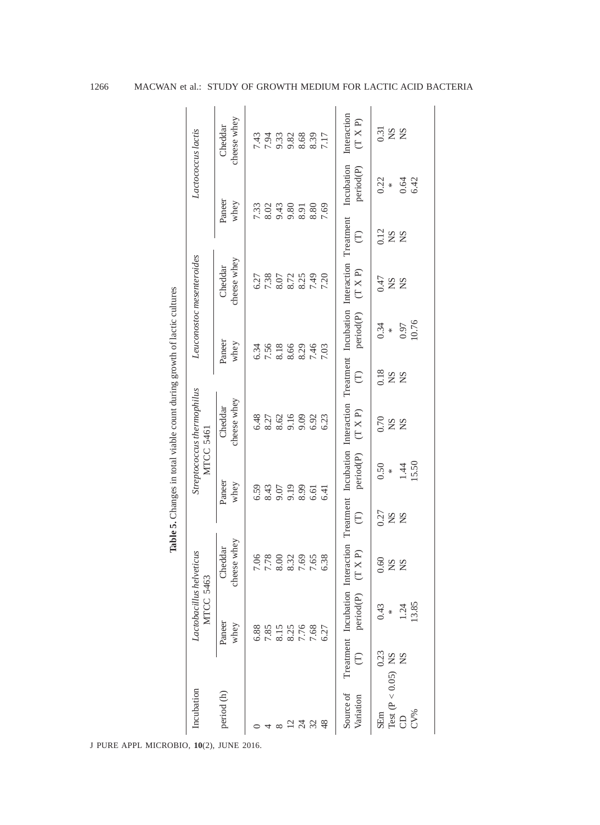|                                                                         | Lactococcus lactis                           | cheese whey<br>Cheddar | 7.43 | 7.94 | 9.33<br>9.82<br>8.63<br>7.17 |              |                |      |      | Interaction<br>(T X P)<br>Incubation<br>period(P)                                                                         | 0.31<br>0.22    | $^{2}N$<br>∗               | SN<br>0.64 | 6.42  |
|-------------------------------------------------------------------------|----------------------------------------------|------------------------|------|------|------------------------------|--------------|----------------|------|------|---------------------------------------------------------------------------------------------------------------------------|-----------------|----------------------------|------------|-------|
|                                                                         |                                              | Paneer<br>whey         | 7.33 | 8.02 | 9.43                         | 9.80         | 8.91           | 8.80 | 7.69 | $\widehat{\Xi}$                                                                                                           | 0.12            | $\mathop{\rm SN}\nolimits$ | SN         |       |
|                                                                         | Leuconostoc mesenteroides                    | cheese whey<br>Cheddar | 6.27 | 7.38 | $8.07\,$                     | 8.72         | 8.25           | 7.49 | 7.20 | (T X P)                                                                                                                   | 0.47            | $\mathop{\rm SN}\nolimits$ | SN         |       |
| Table 5. Changes in total viable count during growth of lactic cultures |                                              | Paneer<br>whey         | 6.34 | 7.56 | 8.18                         | 8.66         | 8.29           | 7.46 | 7.03 | Treatment Incubation Interaction Treatment Incubation Interaction Treatment Incubation Interaction Treatment<br>period(P) | 0.34            | ×.                         | 0.97       | 10.76 |
|                                                                         |                                              |                        |      |      |                              |              |                |      |      | E                                                                                                                         | 0.18            | S <sub>N</sub>             | SN         |       |
|                                                                         | Streptococcus thermophilus                   | cheese whey<br>Cheddar | 6.48 | 8.27 |                              | 8.62<br>9.16 | 9.09           | 6.92 | 6.23 | (T X P)                                                                                                                   | 0.70            | SN                         | SN         |       |
|                                                                         | MTCC 5461                                    | Paneer<br>whey         | 6.59 | 8.43 |                              | 9.07<br>9.19 | 8.99           | 6.61 | 6.41 | period(P)                                                                                                                 | 0.50            | X                          | 1.44       | 15.50 |
|                                                                         |                                              |                        |      |      |                              |              |                |      |      | $\widehat{\in}$                                                                                                           | 0.27            | SN                         | SN         |       |
|                                                                         |                                              | cheese whey<br>Cheddar | 7.06 | 7.78 | 8.00                         | 8.32         | 7.69           | 7.65 | 6.38 | [XXP]<br>F<br>E                                                                                                           | 0.60            | $_{\rm NS}$                | SN         |       |
|                                                                         | Lactobacillus helveticus<br><b>MTCC 5463</b> | Paneer<br>whey         | 6.88 | 7.85 | 8.15                         | 8.25         | 7.76           | 7.68 | 6.27 | period(P)                                                                                                                 | 0.43            | ℀                          | 1.24       | 13.85 |
|                                                                         |                                              |                        |      |      |                              |              |                |      |      | Ê                                                                                                                         | 0.23            |                            | SN         |       |
|                                                                         | Incubation                                   | period (h)             |      |      |                              |              | $\overline{c}$ | 32   |      | Source of<br>Variation                                                                                                    | SE <sub>m</sub> | Test $(P < 0.05)$ NS       |            | CV%   |

1266 MACWAN et al.: STUDY OF GROWTH MEDIUM FOR LACTIC ACID BACTERIA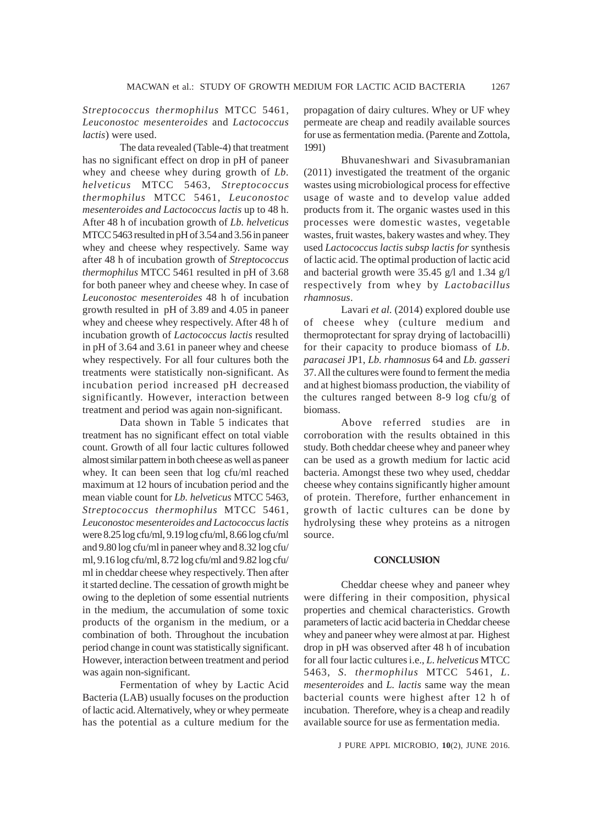## *Streptococcus thermophilus* MTCC 5461, *Leuconostoc mesenteroides* and *Lactococcus lactis*) were used.

The data revealed (Table-4) that treatment has no significant effect on drop in pH of paneer whey and cheese whey during growth of *Lb. helveticus* MTCC 5463, *Streptococcus thermophilus* MTCC 5461, *Leuconostoc mesenteroides and Lactococcus lactis* up to 48 h. After 48 h of incubation growth of *Lb. helveticus* MTCC 5463 resulted in pH of 3.54 and 3.56 in paneer whey and cheese whey respectively. Same way after 48 h of incubation growth of *Streptococcus thermophilus* MTCC 5461 resulted in pH of 3.68 for both paneer whey and cheese whey. In case of *Leuconostoc mesenteroides* 48 h of incubation growth resulted in pH of 3.89 and 4.05 in paneer whey and cheese whey respectively. After 48 h of incubation growth of *Lactococcus lactis* resulted in pH of 3.64 and 3.61 in paneer whey and cheese whey respectively. For all four cultures both the treatments were statistically non-significant. As incubation period increased pH decreased significantly. However, interaction between treatment and period was again non-significant.

Data shown in Table 5 indicates that treatment has no significant effect on total viable count. Growth of all four lactic cultures followed almost similar pattern in both cheese as well as paneer whey. It can been seen that log cfu/ml reached maximum at 12 hours of incubation period and the mean viable count for *Lb. helveticus* MTCC 5463, *Streptococcus thermophilus* MTCC 5461, *Leuconostoc mesenteroides and Lactococcus lactis* were 8.25 log cfu/ml, 9.19 log cfu/ml, 8.66 log cfu/ml and 9.80 log cfu/ml in paneer whey and 8.32 log cfu/ ml, 9.16 log cfu/ml, 8.72 log cfu/ml and 9.82 log cfu/ ml in cheddar cheese whey respectively. Then after it started decline. The cessation of growth might be owing to the depletion of some essential nutrients in the medium, the accumulation of some toxic products of the organism in the medium, or a combination of both. Throughout the incubation period change in count was statistically significant. However, interaction between treatment and period was again non-significant.

Fermentation of whey by Lactic Acid Bacteria (LAB) usually focuses on the production of lactic acid. Alternatively, whey or whey permeate has the potential as a culture medium for the

propagation of dairy cultures. Whey or UF whey permeate are cheap and readily available sources for use as fermentation media. (Parente and Zottola, 1991)

Bhuvaneshwari and Sivasubramanian (2011) investigated the treatment of the organic wastes using microbiological process for effective usage of waste and to develop value added products from it. The organic wastes used in this processes were domestic wastes, vegetable wastes, fruit wastes, bakery wastes and whey. They used *Lactococcus lactis subsp lactis for* synthesis of lactic acid. The optimal production of lactic acid and bacterial growth were 35.45 g/l and 1.34 g/l respectively from whey by *Lactobacillus rhamnosus*.

Lavari *et al.* (2014) explored double use of cheese whey (culture medium and thermoprotectant for spray drying of lactobacilli) for their capacity to produce biomass of *Lb. paracasei* JP1, *Lb. rhamnosus* 64 and *Lb. gasseri* 37. All the cultures were found to ferment the media and at highest biomass production, the viability of the cultures ranged between 8-9 log cfu/g of biomass.

Above referred studies are in corroboration with the results obtained in this study. Both cheddar cheese whey and paneer whey can be used as a growth medium for lactic acid bacteria. Amongst these two whey used, cheddar cheese whey contains significantly higher amount of protein. Therefore, further enhancement in growth of lactic cultures can be done by hydrolysing these whey proteins as a nitrogen source.

#### **CONCLUSION**

Cheddar cheese whey and paneer whey were differing in their composition, physical properties and chemical characteristics. Growth parameters of lactic acid bacteria in Cheddar cheese whey and paneer whey were almost at par. Highest drop in pH was observed after 48 h of incubation for all four lactic cultures i.e., *L. helveticus* MTCC 5463, *S. thermophilus* MTCC 5461, *L. mesenteroides* and *L. lactis* same way the mean bacterial counts were highest after 12 h of incubation. Therefore, whey is a cheap and readily available source for use as fermentation media.